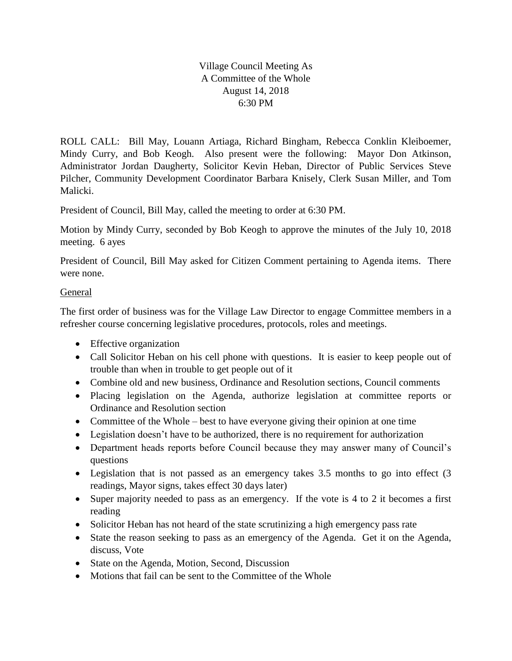Village Council Meeting As A Committee of the Whole August 14, 2018 6:30 PM

ROLL CALL: Bill May, Louann Artiaga, Richard Bingham, Rebecca Conklin Kleiboemer, Mindy Curry, and Bob Keogh. Also present were the following: Mayor Don Atkinson, Administrator Jordan Daugherty, Solicitor Kevin Heban, Director of Public Services Steve Pilcher, Community Development Coordinator Barbara Knisely, Clerk Susan Miller, and Tom Malicki.

President of Council, Bill May, called the meeting to order at 6:30 PM.

Motion by Mindy Curry, seconded by Bob Keogh to approve the minutes of the July 10, 2018 meeting. 6 ayes

President of Council, Bill May asked for Citizen Comment pertaining to Agenda items. There were none.

## General

The first order of business was for the Village Law Director to engage Committee members in a refresher course concerning legislative procedures, protocols, roles and meetings.

- Effective organization
- Call Solicitor Heban on his cell phone with questions. It is easier to keep people out of trouble than when in trouble to get people out of it
- Combine old and new business, Ordinance and Resolution sections, Council comments
- Placing legislation on the Agenda, authorize legislation at committee reports or Ordinance and Resolution section
- Committee of the Whole best to have everyone giving their opinion at one time
- Legislation doesn't have to be authorized, there is no requirement for authorization
- Department heads reports before Council because they may answer many of Council's questions
- Legislation that is not passed as an emergency takes 3.5 months to go into effect (3) readings, Mayor signs, takes effect 30 days later)
- Super majority needed to pass as an emergency. If the vote is 4 to 2 it becomes a first reading
- Solicitor Heban has not heard of the state scrutinizing a high emergency pass rate
- State the reason seeking to pass as an emergency of the Agenda. Get it on the Agenda, discuss, Vote
- State on the Agenda, Motion, Second, Discussion
- Motions that fail can be sent to the Committee of the Whole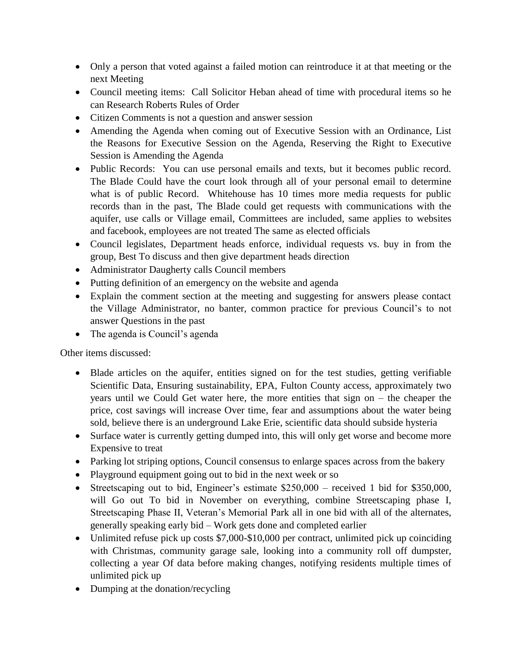- Only a person that voted against a failed motion can reintroduce it at that meeting or the next Meeting
- Council meeting items: Call Solicitor Heban ahead of time with procedural items so he can Research Roberts Rules of Order
- Citizen Comments is not a question and answer session
- Amending the Agenda when coming out of Executive Session with an Ordinance, List the Reasons for Executive Session on the Agenda, Reserving the Right to Executive Session is Amending the Agenda
- Public Records: You can use personal emails and texts, but it becomes public record. The Blade Could have the court look through all of your personal email to determine what is of public Record. Whitehouse has 10 times more media requests for public records than in the past, The Blade could get requests with communications with the aquifer, use calls or Village email, Committees are included, same applies to websites and facebook, employees are not treated The same as elected officials
- Council legislates, Department heads enforce, individual requests vs. buy in from the group, Best To discuss and then give department heads direction
- Administrator Daugherty calls Council members
- Putting definition of an emergency on the website and agenda
- Explain the comment section at the meeting and suggesting for answers please contact the Village Administrator, no banter, common practice for previous Council's to not answer Questions in the past
- The agenda is Council's agenda

Other items discussed:

- Blade articles on the aquifer, entities signed on for the test studies, getting verifiable Scientific Data, Ensuring sustainability, EPA, Fulton County access, approximately two years until we Could Get water here, the more entities that sign on – the cheaper the price, cost savings will increase Over time, fear and assumptions about the water being sold, believe there is an underground Lake Erie, scientific data should subside hysteria
- Surface water is currently getting dumped into, this will only get worse and become more Expensive to treat
- Parking lot striping options, Council consensus to enlarge spaces across from the bakery
- Playground equipment going out to bid in the next week or so
- Streetscaping out to bid, Engineer's estimate  $$250,000$  received 1 bid for  $$350,000$ , will Go out To bid in November on everything, combine Streetscaping phase I, Streetscaping Phase II, Veteran's Memorial Park all in one bid with all of the alternates, generally speaking early bid – Work gets done and completed earlier
- Unlimited refuse pick up costs \$7,000-\$10,000 per contract, unlimited pick up coinciding with Christmas, community garage sale, looking into a community roll off dumpster, collecting a year Of data before making changes, notifying residents multiple times of unlimited pick up
- Dumping at the donation/recycling